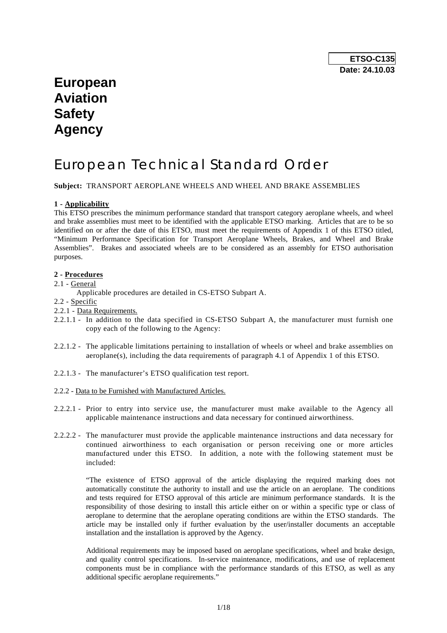# **European Aviation Safety Agency**

# European Technical Standard Order

**Subject:** TRANSPORT AEROPLANE WHEELS AND WHEEL AND BRAKE ASSEMBLIES

#### **1 - Applicability**

This ETSO prescribes the minimum performance standard that transport category aeroplane wheels, and wheel and brake assemblies must meet to be identified with the applicable ETSO marking. Articles that are to be so identified on or after the date of this ETSO, must meet the requirements of Appendix 1 of this ETSO titled, "Minimum Performance Specification for Transport Aeroplane Wheels, Brakes, and Wheel and Brake Assemblies". Brakes and associated wheels are to be considered as an assembly for ETSO authorisation purposes.

# **2 - Procedures**

- 2.1 General
	- Applicable procedures are detailed in CS-ETSO Subpart A.
- 2.2 Specific
- 2.2.1 Data Requirements.
- 2.2.1.1 In addition to the data specified in CS-ETSO Subpart A, the manufacturer must furnish one copy each of the following to the Agency:
- 2.2.1.2 The applicable limitations pertaining to installation of wheels or wheel and brake assemblies on aeroplane(s), including the data requirements of paragraph 4.1 of Appendix 1 of this ETSO.
- 2.2.1.3 The manufacturer's ETSO qualification test report.

#### 2.2.2 - Data to be Furnished with Manufactured Articles.

- 2.2.2.1 Prior to entry into service use, the manufacturer must make available to the Agency all applicable maintenance instructions and data necessary for continued airworthiness.
- 2.2.2.2 The manufacturer must provide the applicable maintenance instructions and data necessary for continued airworthiness to each organisation or person receiving one or more articles manufactured under this ETSO. In addition, a note with the following statement must be included:

"The existence of ETSO approval of the article displaying the required marking does not automatically constitute the authority to install and use the article on an aeroplane. The conditions and tests required for ETSO approval of this article are minimum performance standards. It is the responsibility of those desiring to install this article either on or within a specific type or class of aeroplane to determine that the aeroplane operating conditions are within the ETSO standards. The article may be installed only if further evaluation by the user/installer documents an acceptable installation and the installation is approved by the Agency.

Additional requirements may be imposed based on aeroplane specifications, wheel and brake design, and quality control specifications. In-service maintenance, modifications, and use of replacement components must be in compliance with the performance standards of this ETSO, as well as any additional specific aeroplane requirements."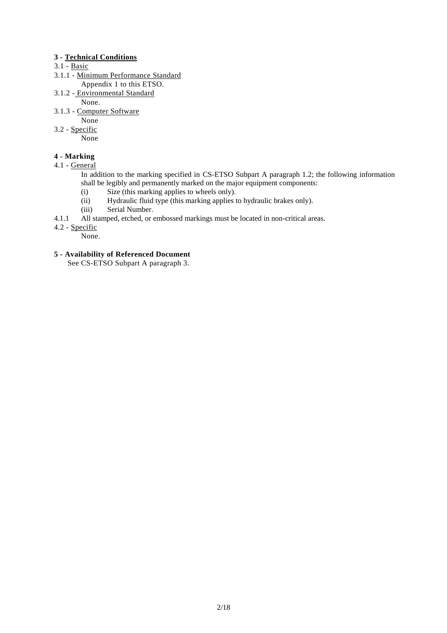# **3 - Technical Conditions**

# 3.1 - Basic

- 3.1.1 Minimum Performance Standard
	- Appendix 1 to this ETSO.
- 3.1.2 Environmental Standard
	- None.
- 3.1.3 Computer Software
	- None
- 3.2 Specific

None

# **4 - Marking**

4.1 - General

In addition to the marking specified in CS-ETSO Subpart A paragraph 1.2; the following information shall be legibly and permanently marked on the major equipment components:

- (i) Size (this marking applies to wheels only).
- (ii) Hydraulic fluid type (this marking applies to hydraulic brakes only).
- (iii) Serial Number.
- 4.1.1 All stamped, etched, or embossed markings must be located in non-critical areas.
- 4.2 Specific

None.

# **5 - Availability of Referenced Document**

See CS-ETSO Subpart A paragraph 3.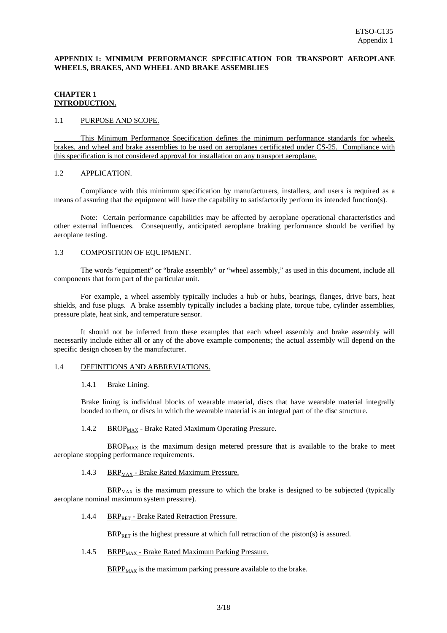### **APPENDIX 1: MINIMUM PERFORMANCE SPECIFICATION FOR TRANSPORT AEROPLANE WHEELS, BRAKES, AND WHEEL AND BRAKE ASSEMBLIES**

# **CHAPTER 1 INTRODUCTION.**

#### 1.1 PURPOSE AND SCOPE.

 This Minimum Performance Specification defines the minimum performance standards for wheels, brakes, and wheel and brake assemblies to be used on aeroplanes certificated under CS-25. Compliance with this specification is not considered approval for installation on any transport aeroplane.

#### 1.2 APPLICATION.

 Compliance with this minimum specification by manufacturers, installers, and users is required as a means of assuring that the equipment will have the capability to satisfactorily perform its intended function(s).

 Note: Certain performance capabilities may be affected by aeroplane operational characteristics and other external influences. Consequently, anticipated aeroplane braking performance should be verified by aeroplane testing.

#### 1.3 COMPOSITION OF EQUIPMENT.

 The words "equipment" or "brake assembly" or "wheel assembly," as used in this document, include all components that form part of the particular unit.

 For example, a wheel assembly typically includes a hub or hubs, bearings, flanges, drive bars, heat shields, and fuse plugs. A brake assembly typically includes a backing plate, torque tube, cylinder assemblies, pressure plate, heat sink, and temperature sensor.

 It should not be inferred from these examples that each wheel assembly and brake assembly will necessarily include either all or any of the above example components; the actual assembly will depend on the specific design chosen by the manufacturer.

#### 1.4 DEFINITIONS AND ABBREVIATIONS.

#### 1.4.1 Brake Lining.

Brake lining is individual blocks of wearable material, discs that have wearable material integrally bonded to them, or discs in which the wearable material is an integral part of the disc structure.

#### 1.4.2 BROP<sub>MAX</sub> - Brake Rated Maximum Operating Pressure.

 $BROP<sub>MAX</sub>$  is the maximum design metered pressure that is available to the brake to meet aeroplane stopping performance requirements.

#### 1.4.3 BRP $_{MAX}$  - Brake Rated Maximum Pressure.

 $BR_{MAX}$  is the maximum pressure to which the brake is designed to be subjected (typically aeroplane nominal maximum system pressure).

1.4.4 BRP<sub>RET</sub> - Brake Rated Retraction Pressure.

 $BRP<sub>BFT</sub>$  is the highest pressure at which full retraction of the piston(s) is assured.

1.4.5 BRPP $_{MAX}$  - Brake Rated Maximum Parking Pressure.

 $BRPP<sub>MAX</sub>$  is the maximum parking pressure available to the brake.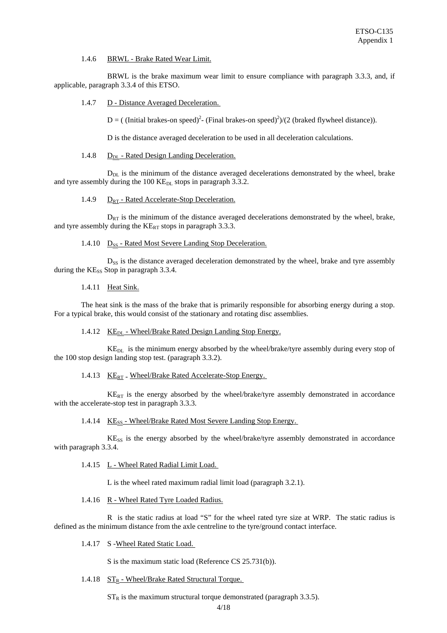#### 1.4.6 BRWL - Brake Rated Wear Limit.

 BRWL is the brake maximum wear limit to ensure compliance with paragraph 3.3.3, and, if applicable, paragraph 3.3.4 of this ETSO.

1.4.7 D - Distance Averaged Deceleration.

D = ((Initial brakes-on speed)<sup>2</sup>- (Final brakes-on speed)<sup>2</sup>)/(2 (braked flywheel distance)).

D is the distance averaged deceleration to be used in all deceleration calculations.

#### 1.4.8  $D_{DL}$  - Rated Design Landing Deceleration.

 $D_{DL}$  is the minimum of the distance averaged decelerations demonstrated by the wheel, brake and tyre assembly during the  $100$  KE<sub>DL</sub> stops in paragraph 3.3.2.

#### 1.4.9  $D_{RT}$  - Rated Accelerate-Stop Deceleration.

 $D_{RT}$  is the minimum of the distance averaged decelerations demonstrated by the wheel, brake, and tyre assembly during the  $KE_{RT}$  stops in paragraph 3.3.3.

#### 1.4.10  $D_{SS}$  - Rated Most Severe Landing Stop Deceleration.

 $D_{SS}$  is the distance averaged deceleration demonstrated by the wheel, brake and tyre assembly during the  $KE_{ss}$  Stop in paragraph 3.3.4.

#### 1.4.11 Heat Sink.

The heat sink is the mass of the brake that is primarily responsible for absorbing energy during a stop. For a typical brake, this would consist of the stationary and rotating disc assemblies.

#### 1.4.12 KE<sub>DL</sub> - Wheel/Brake Rated Design Landing Stop Energy.

 KEDL is the minimum energy absorbed by the wheel/brake/tyre assembly during every stop of the 100 stop design landing stop test. (paragraph 3.3.2).

#### 1.4.13 KE<sub>RT</sub> - Wheel/Brake Rated Accelerate-Stop Energy.

 $KE_{RT}$  is the energy absorbed by the wheel/brake/tyre assembly demonstrated in accordance with the accelerate-stop test in paragraph 3.3.3.

#### 1.4.14 KE<sub>SS</sub> - Wheel/Brake Rated Most Severe Landing Stop Energy.

 $K$ E<sub>SS</sub> is the energy absorbed by the wheel/brake/tyre assembly demonstrated in accordance with paragraph 3.3.4.

#### 1.4.15 L - Wheel Rated Radial Limit Load.

L is the wheel rated maximum radial limit load (paragraph 3.2.1).

1.4.16 R - Wheel Rated Tyre Loaded Radius.

 R is the static radius at load "S" for the wheel rated tyre size at WRP. The static radius is defined as the minimum distance from the axle centreline to the tyre/ground contact interface.

1.4.17 S -Wheel Rated Static Load.

S is the maximum static load (Reference CS 25.731(b)).

1.4.18  $ST_R$  - Wheel/Brake Rated Structural Torque.

 $ST_R$  is the maximum structural torque demonstrated (paragraph 3.3.5).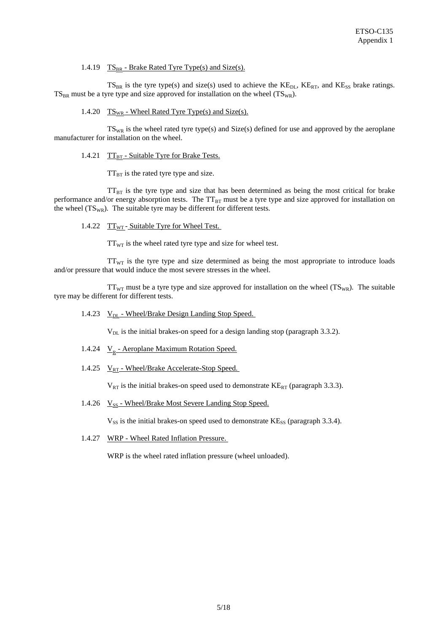1.4.19  $TS_{BR}$  - Brake Rated Tyre Type(s) and Size(s).

 $TS_{BR}$  is the tyre type(s) and size(s) used to achieve the  $KE_{DL}$ ,  $KE_{RT}$ , and  $KE_{SS}$  brake ratings.  $TS_{BR}$  must be a tyre type and size approved for installation on the wheel ( $TS_{WR}$ ).

1.4.20  $TS_{WR}$  - Wheel Rated Tyre Type(s) and Size(s).

 $TS_{WR}$  is the wheel rated tyre type(s) and  $Size(s)$  defined for use and approved by the aeroplane manufacturer for installation on the wheel.

1.4.21  $TT_{BT}$  - Suitable Tyre for Brake Tests.

 $TT_{BT}$  is the rated tyre type and size.

 $TT_{BT}$  is the tyre type and size that has been determined as being the most critical for brake performance and/or energy absorption tests. The  $TT_{BT}$  must be a tyre type and size approved for installation on the wheel  $(TS_{WR})$ . The suitable tyre may be different for different tests.

1.4.22  $TT_{WT}$  - Suitable Tyre for Wheel Test.

 $TT_{WT}$  is the wheel rated tyre type and size for wheel test.

 $TT_{WT}$  is the tyre type and size determined as being the most appropriate to introduce loads and/or pressure that would induce the most severe stresses in the wheel.

 $TT_{WT}$  must be a tyre type and size approved for installation on the wheel  $(TS_{WR})$ . The suitable tyre may be different for different tests.

1.4.23  $V_{DL}$  - Wheel/Brake Design Landing Stop Speed.

 $V<sub>DL</sub>$  is the initial brakes-on speed for a design landing stop (paragraph 3.3.2).

- 1.4.24  $V_R$  Aeroplane Maximum Rotation Speed.
- 1.4.25  $V_{RT}$  Wheel/Brake Accelerate-Stop Speed.

 $V_{RT}$  is the initial brakes-on speed used to demonstrate  $KE_{RT}$  (paragraph 3.3.3).

1.4.26  $V_{SS}$  - Wheel/Brake Most Severe Landing Stop Speed.

 $V_{SS}$  is the initial brakes-on speed used to demonstrate  $KE_{SS}$  (paragraph 3.3.4).

1.4.27 WRP - Wheel Rated Inflation Pressure.

WRP is the wheel rated inflation pressure (wheel unloaded).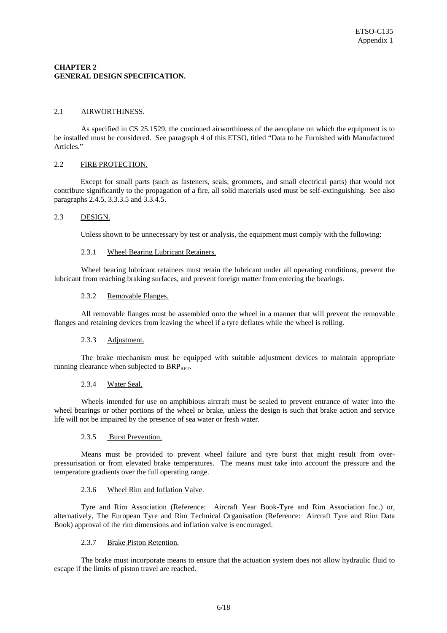# **CHAPTER 2 GENERAL DESIGN SPECIFICATION.**

## 2.1 AIRWORTHINESS.

As specified in CS 25.1529, the continued airworthiness of the aeroplane on which the equipment is to be installed must be considered. See paragraph 4 of this ETSO, titled "Data to be Furnished with Manufactured Articles."

# 2.2 FIRE PROTECTION.

 Except for small parts (such as fasteners, seals, grommets, and small electrical parts) that would not contribute significantly to the propagation of a fire, all solid materials used must be self-extinguishing. See also paragraphs 2.4.5, 3.3.3.5 and 3.3.4.5.

#### 2.3 DESIGN.

Unless shown to be unnecessary by test or analysis, the equipment must comply with the following:

#### 2.3.1 Wheel Bearing Lubricant Retainers.

Wheel bearing lubricant retainers must retain the lubricant under all operating conditions, prevent the lubricant from reaching braking surfaces, and prevent foreign matter from entering the bearings.

# 2.3.2 Removable Flanges.

All removable flanges must be assembled onto the wheel in a manner that will prevent the removable flanges and retaining devices from leaving the wheel if a tyre deflates while the wheel is rolling.

#### 2.3.3 Adjustment.

The brake mechanism must be equipped with suitable adjustment devices to maintain appropriate running clearance when subjected to  $BRP_{RET}$ .

#### 2.3.4 Water Seal.

Wheels intended for use on amphibious aircraft must be sealed to prevent entrance of water into the wheel bearings or other portions of the wheel or brake, unless the design is such that brake action and service life will not be impaired by the presence of sea water or fresh water.

#### 2.3.5 Burst Prevention.

Means must be provided to prevent wheel failure and tyre burst that might result from overpressurisation or from elevated brake temperatures. The means must take into account the pressure and the temperature gradients over the full operating range.

# 2.3.6 Wheel Rim and Inflation Valve.

Tyre and Rim Association (Reference: Aircraft Year Book-Tyre and Rim Association Inc.) or, alternatively, The European Tyre and Rim Technical Organisation (Reference: Aircraft Tyre and Rim Data Book) approval of the rim dimensions and inflation valve is encouraged.

## 2.3.7 Brake Piston Retention.

The brake must incorporate means to ensure that the actuation system does not allow hydraulic fluid to escape if the limits of piston travel are reached.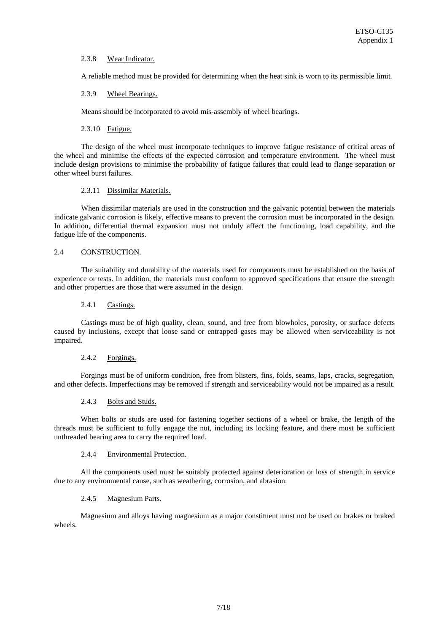### 2.3.8 Wear Indicator.

A reliable method must be provided for determining when the heat sink is worn to its permissible limit*.*

# 2.3.9 Wheel Bearings.

Means should be incorporated to avoid mis-assembly of wheel bearings.

#### 2.3.10 Fatigue.

The design of the wheel must incorporate techniques to improve fatigue resistance of critical areas of the wheel and minimise the effects of the expected corrosion and temperature environment. The wheel must include design provisions to minimise the probability of fatigue failures that could lead to flange separation or other wheel burst failures.

# 2.3.11 Dissimilar Materials.

When dissimilar materials are used in the construction and the galvanic potential between the materials indicate galvanic corrosion is likely, effective means to prevent the corrosion must be incorporated in the design. In addition, differential thermal expansion must not unduly affect the functioning, load capability, and the fatigue life of the components.

# 2.4 CONSTRUCTION.

The suitability and durability of the materials used for components must be established on the basis of experience or tests. In addition, the materials must conform to approved specifications that ensure the strength and other properties are those that were assumed in the design.

#### 2.4.1 Castings.

Castings must be of high quality, clean, sound, and free from blowholes, porosity, or surface defects caused by inclusions, except that loose sand or entrapped gases may be allowed when serviceability is not impaired.

## 2.4.2 Forgings.

 Forgings must be of uniform condition, free from blisters, fins, folds, seams, laps, cracks, segregation, and other defects. Imperfections may be removed if strength and serviceability would not be impaired as a result.

#### 2.4.3 Bolts and Studs.

 When bolts or studs are used for fastening together sections of a wheel or brake, the length of the threads must be sufficient to fully engage the nut, including its locking feature, and there must be sufficient unthreaded bearing area to carry the required load.

#### 2.4.4 Environmental Protection.

All the components used must be suitably protected against deterioration or loss of strength in service due to any environmental cause, such as weathering, corrosion, and abrasion.

#### 2.4.5 Magnesium Parts.

 Magnesium and alloys having magnesium as a major constituent must not be used on brakes or braked wheels.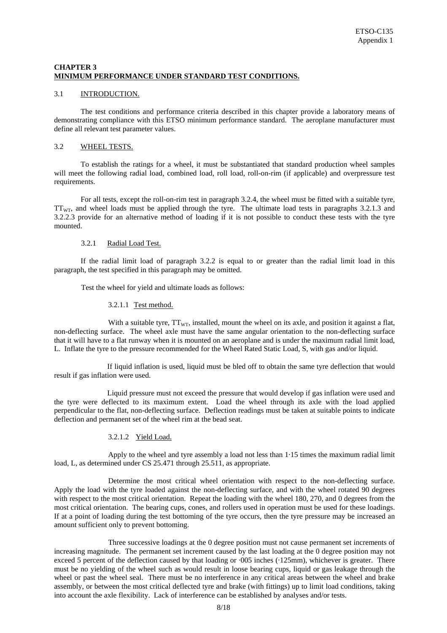# **CHAPTER 3 MINIMUM PERFORMANCE UNDER STANDARD TEST CONDITIONS.**

#### 3.1 INTRODUCTION.

 The test conditions and performance criteria described in this chapter provide a laboratory means of demonstrating compliance with this ETSO minimum performance standard. The aeroplane manufacturer must define all relevant test parameter values.

#### 3.2 WHEEL TESTS.

 To establish the ratings for a wheel, it must be substantiated that standard production wheel samples will meet the following radial load, combined load, roll load, roll-on-rim (if applicable) and overpressure test requirements.

 For all tests, except the roll-on-rim test in paragraph 3.2.4, the wheel must be fitted with a suitable tyre,  $TT_{\text{WT}}$ , and wheel loads must be applied through the tyre. The ultimate load tests in paragraphs 3.2.1.3 and 3.2.2.3 provide for an alternative method of loading if it is not possible to conduct these tests with the tyre mounted.

#### 3.2.1 Radial Load Test.

 If the radial limit load of paragraph 3.2.2 is equal to or greater than the radial limit load in this paragraph, the test specified in this paragraph may be omitted.

Test the wheel for yield and ultimate loads as follows:

#### 3.2.1.1 Test method.

With a suitable tyre,  $TT_{WT}$ , installed, mount the wheel on its axle, and position it against a flat, non-deflecting surface. The wheel axle must have the same angular orientation to the non-deflecting surface that it will have to a flat runway when it is mounted on an aeroplane and is under the maximum radial limit load, L. Inflate the tyre to the pressure recommended for the Wheel Rated Static Load, S, with gas and/or liquid.

 If liquid inflation is used, liquid must be bled off to obtain the same tyre deflection that would result if gas inflation were used.

 Liquid pressure must not exceed the pressure that would develop if gas inflation were used and the tyre were deflected to its maximum extent. Load the wheel through its axle with the load applied perpendicular to the flat, non-deflecting surface. Deflection readings must be taken at suitable points to indicate deflection and permanent set of the wheel rim at the bead seat.

#### 3.2.1.2 Yield Load.

Apply to the wheel and tyre assembly a load not less than 1·15 times the maximum radial limit load, L, as determined under CS 25.471 through 25.511, as appropriate.

Determine the most critical wheel orientation with respect to the non-deflecting surface. Apply the load with the tyre loaded against the non-deflecting surface, and with the wheel rotated 90 degrees with respect to the most critical orientation. Repeat the loading with the wheel 180, 270, and 0 degrees from the most critical orientation. The bearing cups, cones, and rollers used in operation must be used for these loadings. If at a point of loading during the test bottoming of the tyre occurs, then the tyre pressure may be increased an amount sufficient only to prevent bottoming.

Three successive loadings at the 0 degree position must not cause permanent set increments of increasing magnitude. The permanent set increment caused by the last loading at the 0 degree position may not exceed 5 percent of the deflection caused by that loading or ·005 inches (·125mm), whichever is greater. There must be no yielding of the wheel such as would result in loose bearing cups, liquid or gas leakage through the wheel or past the wheel seal. There must be no interference in any critical areas between the wheel and brake assembly, or between the most critical deflected tyre and brake (with fittings) up to limit load conditions, taking into account the axle flexibility. Lack of interference can be established by analyses and/or tests.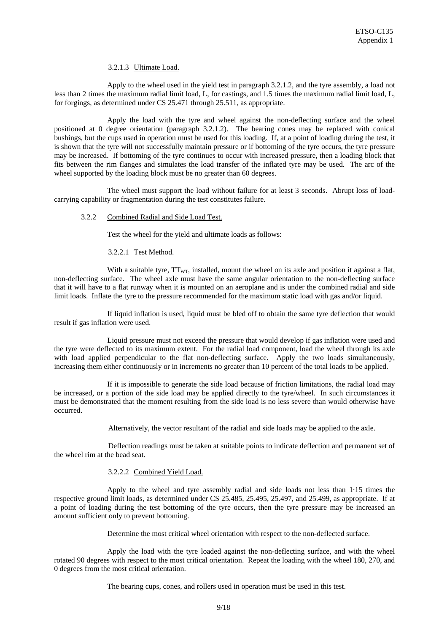### 3.2.1.3 Ultimate Load.

 Apply to the wheel used in the yield test in paragraph 3.2.1.2, and the tyre assembly, a load not less than 2 times the maximum radial limit load, L, for castings, and 1.5 times the maximum radial limit load, L, for forgings, as determined under CS 25.471 through 25.511, as appropriate.

 Apply the load with the tyre and wheel against the non-deflecting surface and the wheel positioned at 0 degree orientation (paragraph 3.2.1.2). The bearing cones may be replaced with conical bushings, but the cups used in operation must be used for this loading. If, at a point of loading during the test, it is shown that the tyre will not successfully maintain pressure or if bottoming of the tyre occurs, the tyre pressure may be increased. If bottoming of the tyre continues to occur with increased pressure, then a loading block that fits between the rim flanges and simulates the load transfer of the inflated tyre may be used. The arc of the wheel supported by the loading block must be no greater than 60 degrees.

 The wheel must support the load without failure for at least 3 seconds. Abrupt loss of loadcarrying capability or fragmentation during the test constitutes failure.

#### 3.2.2 Combined Radial and Side Load Test.

Test the wheel for the yield and ultimate loads as follows:

#### 3.2.2.1 Test Method.

With a suitable tyre,  $TT_{WT}$ , installed, mount the wheel on its axle and position it against a flat, non-deflecting surface. The wheel axle must have the same angular orientation to the non-deflecting surface that it will have to a flat runway when it is mounted on an aeroplane and is under the combined radial and side limit loads. Inflate the tyre to the pressure recommended for the maximum static load with gas and/or liquid.

 If liquid inflation is used, liquid must be bled off to obtain the same tyre deflection that would result if gas inflation were used.

 Liquid pressure must not exceed the pressure that would develop if gas inflation were used and the tyre were deflected to its maximum extent. For the radial load component, load the wheel through its axle with load applied perpendicular to the flat non-deflecting surface. Apply the two loads simultaneously, increasing them either continuously or in increments no greater than 10 percent of the total loads to be applied.

 If it is impossible to generate the side load because of friction limitations, the radial load may be increased, or a portion of the side load may be applied directly to the tyre/wheel. In such circumstances it must be demonstrated that the moment resulting from the side load is no less severe than would otherwise have occurred.

Alternatively, the vector resultant of the radial and side loads may be applied to the axle.

Deflection readings must be taken at suitable points to indicate deflection and permanent set of the wheel rim at the bead seat.

### 3.2.2.2 Combined Yield Load.

 Apply to the wheel and tyre assembly radial and side loads not less than 1·15 times the respective ground limit loads, as determined under CS 25.485, 25.495, 25.497, and 25.499, as appropriate. If at a point of loading during the test bottoming of the tyre occurs, then the tyre pressure may be increased an amount sufficient only to prevent bottoming.

Determine the most critical wheel orientation with respect to the non-deflected surface.

 Apply the load with the tyre loaded against the non-deflecting surface, and with the wheel rotated 90 degrees with respect to the most critical orientation. Repeat the loading with the wheel 180, 270, and 0 degrees from the most critical orientation.

The bearing cups, cones, and rollers used in operation must be used in this test.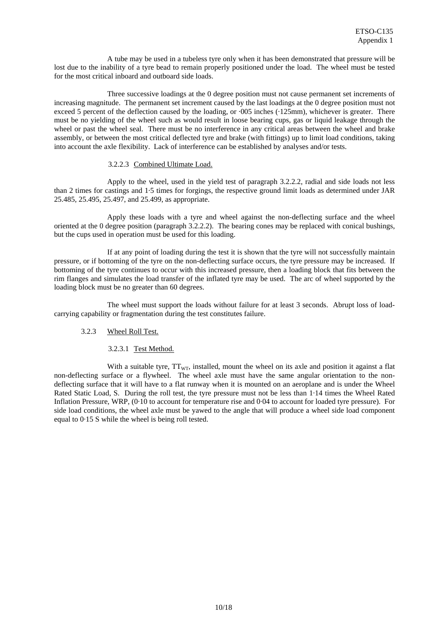A tube may be used in a tubeless tyre only when it has been demonstrated that pressure will be lost due to the inability of a tyre bead to remain properly positioned under the load. The wheel must be tested for the most critical inboard and outboard side loads.

 Three successive loadings at the 0 degree position must not cause permanent set increments of increasing magnitude. The permanent set increment caused by the last loadings at the 0 degree position must not exceed 5 percent of the deflection caused by the loading, or  $.005$  inches ( $.125$ mm), whichever is greater. There must be no yielding of the wheel such as would result in loose bearing cups, gas or liquid leakage through the wheel or past the wheel seal. There must be no interference in any critical areas between the wheel and brake assembly, or between the most critical deflected tyre and brake (with fittings) up to limit load conditions, taking into account the axle flexibility. Lack of interference can be established by analyses and/or tests.

#### 3.2.2.3 Combined Ultimate Load.

 Apply to the wheel, used in the yield test of paragraph 3.2.2.2, radial and side loads not less than 2 times for castings and 1·5 times for forgings, the respective ground limit loads as determined under JAR 25.485, 25.495, 25.497, and 25.499, as appropriate.

 Apply these loads with a tyre and wheel against the non-deflecting surface and the wheel oriented at the 0 degree position (paragraph 3.2.2.2). The bearing cones may be replaced with conical bushings, but the cups used in operation must be used for this loading.

 If at any point of loading during the test it is shown that the tyre will not successfully maintain pressure, or if bottoming of the tyre on the non-deflecting surface occurs, the tyre pressure may be increased. If bottoming of the tyre continues to occur with this increased pressure, then a loading block that fits between the rim flanges and simulates the load transfer of the inflated tyre may be used. The arc of wheel supported by the loading block must be no greater than 60 degrees.

 The wheel must support the loads without failure for at least 3 seconds. Abrupt loss of loadcarrying capability or fragmentation during the test constitutes failure.

#### 3.2.3 Wheel Roll Test.

#### 3.2.3.1 Test Method.

With a suitable tyre,  $TT_{WT}$ , installed, mount the wheel on its axle and position it against a flat non-deflecting surface or a flywheel. The wheel axle must have the same angular orientation to the nondeflecting surface that it will have to a flat runway when it is mounted on an aeroplane and is under the Wheel Rated Static Load, S. During the roll test, the tyre pressure must not be less than 1·14 times the Wheel Rated Inflation Pressure, WRP, (0·10 to account for temperature rise and 0·04 to account for loaded tyre pressure). For side load conditions*,* the wheel axle must be yawed to the angle that will produce a wheel side load component equal to 0·15 S while the wheel is being roll tested.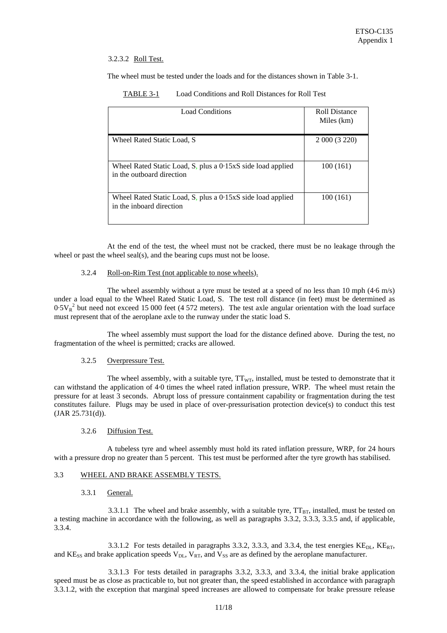## 3.2.3.2 Roll Test.

The wheel must be tested under the loads and for the distances shown in Table 3-1.

| TABLE 3-1 | Load Conditions and Roll Distances for Roll Test |
|-----------|--------------------------------------------------|
|-----------|--------------------------------------------------|

| <b>Load Conditions</b>                                                                   | Roll Distance<br>Miles (km) |  |
|------------------------------------------------------------------------------------------|-----------------------------|--|
| Wheel Rated Static Load, S                                                               | 2 000 (3 220)               |  |
| Wheel Rated Static Load, S, plus a 0.15xS side load applied<br>in the outboard direction | 100(161)                    |  |
| Wheel Rated Static Load, S, plus a 0.15xS side load applied<br>in the inboard direction  | 100 (161)                   |  |

 At the end of the test, the wheel must not be cracked, there must be no leakage through the wheel or past the wheel seal(s), and the bearing cups must not be loose.

#### 3.2.4 Roll-on-Rim Test (not applicable to nose wheels).

The wheel assembly without a tyre must be tested at a speed of no less than 10 mph  $(4.6 \text{ m/s})$ under a load equal to the Wheel Rated Static Load, S. The test roll distance (in feet) must be determined as  $0.5V_R^2$  but need not exceed 15 000 feet (4 572 meters). The test axle angular orientation with the load surface must represent that of the aeroplane axle to the runway under the static load S.

 The wheel assembly must support the load for the distance defined above. During the test, no fragmentation of the wheel is permitted; cracks are allowed.

#### 3.2.5 Overpressure Test.

The wheel assembly, with a suitable tyre,  $TT_{WT}$ , installed, must be tested to demonstrate that it can withstand the application of 4·0 times the wheel rated inflation pressure, WRP. The wheel must retain the pressure for at least 3 seconds. Abrupt loss of pressure containment capability or fragmentation during the test constitutes failure. Plugs may be used in place of over-pressurisation protection device(s) to conduct this test (JAR 25.731(d)).

#### 3.2.6 Diffusion Test.

 A tubeless tyre and wheel assembly must hold its rated inflation pressure, WRP, for 24 hours with a pressure drop no greater than 5 percent. This test must be performed after the tyre growth has stabilised.

### 3.3 WHEEL AND BRAKE ASSEMBLY TESTS.

#### 3.3.1 General.

3.3.1.1 The wheel and brake assembly, with a suitable tyre,  $TT_{BT}$ , installed, must be tested on a testing machine in accordance with the following, as well as paragraphs 3.3.2, 3.3.3, 3.3.5 and, if applicable, 3.3.4.

3.3.1.2 For tests detailed in paragraphs 3.3.2, 3.3.3, and 3.3.4, the test energies  $KE<sub>DL</sub>$ ,  $KE<sub>RT</sub>$ , and  $KE_{SS}$  and brake application speeds  $V_{DL}$ ,  $V_{RT}$ , and  $V_{SS}$  are as defined by the aeroplane manufacturer.

3.3.1.3 For tests detailed in paragraphs 3.3.2, 3.3.3, and 3.3.4, the initial brake application speed must be as close as practicable to, but not greater than, the speed established in accordance with paragraph 3.3.1.2, with the exception that marginal speed increases are allowed to compensate for brake pressure release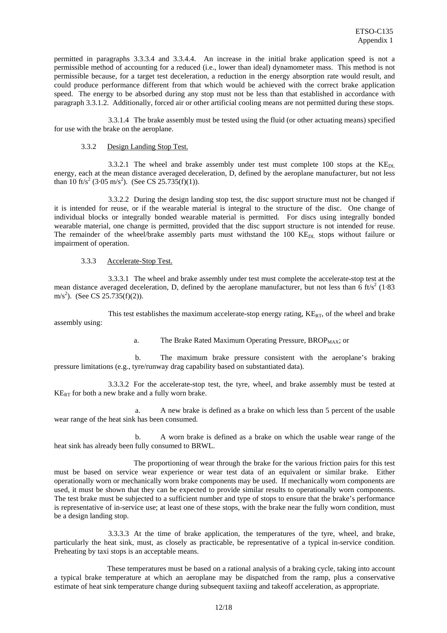permitted in paragraphs 3.3.3.4 and 3.3.4.4. An increase in the initial brake application speed is not a permissible method of accounting for a reduced (i.e., lower than ideal) dynamometer mass. This method is not permissible because, for a target test deceleration, a reduction in the energy absorption rate would result, and could produce performance different from that which would be achieved with the correct brake application speed. The energy to be absorbed during any stop must not be less than that established in accordance with paragraph 3.3.1.2. Additionally, forced air or other artificial cooling means are not permitted during these stops.

3.3.1.4 The brake assembly must be tested using the fluid (or other actuating means) specified for use with the brake on the aeroplane.

#### 3.3.2 Design Landing Stop Test.

3.3.2.1 The wheel and brake assembly under test must complete 100 stops at the  $KE<sub>DI</sub>$ energy, each at the mean distance averaged deceleration, D, defined by the aeroplane manufacturer, but not less than 10 ft/s<sup>2</sup> (3.05 m/s<sup>2</sup>). (See CS 25.735(f)(1)).

3.3.2.2 During the design landing stop test, the disc support structure must not be changed if it is intended for reuse, or if the wearable material is integral to the structure of the disc. One change of individual blocks or integrally bonded wearable material is permitted. For discs using integrally bonded wearable material, one change is permitted, provided that the disc support structure is not intended for reuse. The remainder of the wheel/brake assembly parts must withstand the 100 KE<sub>DL</sub> stops without failure or impairment of operation.

3.3.3 Accelerate-Stop Test.

3.3.3.1 The wheel and brake assembly under test must complete the accelerate-stop test at the mean distance averaged deceleration, D, defined by the aeroplane manufacturer, but not less than 6 ft/s<sup>2</sup> (1.83) m/s<sup>2</sup>). (See CS 25.735(f)(2)).

This test establishes the maximum accelerate-stop energy rating,  $KE_{RT}$ , of the wheel and brake assembly using:

a. The Brake Rated Maximum Operating Pressure, BROP<sub>MAX</sub>; or

b. The maximum brake pressure consistent with the aeroplane's braking pressure limitations (e.g., tyre/runway drag capability based on substantiated data).

3.3.3.2 For the accelerate-stop test, the tyre, wheel, and brake assembly must be tested at  $KE<sub>RT</sub>$  for both a new brake and a fully worn brake.

a. A new brake is defined as a brake on which less than 5 percent of the usable wear range of the heat sink has been consumed.

b. A worn brake is defined as a brake on which the usable wear range of the heat sink has already been fully consumed to BRWL.

 The proportioning of wear through the brake for the various friction pairs for this test must be based on service wear experience or wear test data of an equivalent or similar brake. Either operationally worn or mechanically worn brake components may be used. If mechanically worn components are used, it must be shown that they can be expected to provide similar results to operationally worn components. The test brake must be subjected to a sufficient number and type of stops to ensure that the brake's performance is representative of in-service use; at least one of these stops, with the brake near the fully worn condition, must be a design landing stop.

3.3.3.3 At the time of brake application, the temperatures of the tyre, wheel, and brake, particularly the heat sink, must, as closely as practicable, be representative of a typical in-service condition. Preheating by taxi stops is an acceptable means.

These temperatures must be based on a rational analysis of a braking cycle, taking into account a typical brake temperature at which an aeroplane may be dispatched from the ramp, plus a conservative estimate of heat sink temperature change during subsequent taxiing and takeoff acceleration, as appropriate.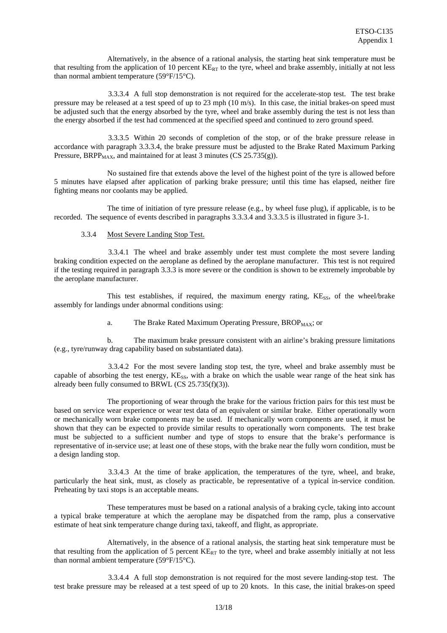Alternatively, in the absence of a rational analysis, the starting heat sink temperature must be that resulting from the application of 10 percent  $KE_{RT}$  to the tyre, wheel and brake assembly, initially at not less than normal ambient temperature (59°F/15°C).

3.3.3.4 A full stop demonstration is not required for the accelerate-stop test. The test brake pressure may be released at a test speed of up to 23 mph (10 m/s). In this case, the initial brakes-on speed must be adjusted such that the energy absorbed by the tyre, wheel and brake assembly during the test is not less than the energy absorbed if the test had commenced at the specified speed and continued to zero ground speed.

3.3.3.5 Within 20 seconds of completion of the stop, or of the brake pressure release in accordance with paragraph 3.3.3.4, the brake pressure must be adjusted to the Brake Rated Maximum Parking Pressure, BRPP<sub>MAX</sub>, and maintained for at least 3 minutes (CS 25.735(g)).

 No sustained fire that extends above the level of the highest point of the tyre is allowed before 5 minutes have elapsed after application of parking brake pressure; until this time has elapsed, neither fire fighting means nor coolants may be applied.

 The time of initiation of tyre pressure release (e.g., by wheel fuse plug), if applicable, is to be recorded. The sequence of events described in paragraphs 3.3.3.4 and 3.3.3.5 is illustrated in figure 3-1.

#### 3.3.4 Most Severe Landing Stop Test.

3.3.4.1 The wheel and brake assembly under test must complete the most severe landing braking condition expected on the aeroplane as defined by the aeroplane manufacturer. This test is not required if the testing required in paragraph 3.3.3 is more severe or the condition is shown to be extremely improbable by the aeroplane manufacturer.

This test establishes, if required, the maximum energy rating,  $KExS$ , of the wheel/brake assembly for landings under abnormal conditions using:

a. The Brake Rated Maximum Operating Pressure, BROP<sub>MAX</sub>; or

 b. The maximum brake pressure consistent with an airline's braking pressure limitations (e.g., tyre/runway drag capability based on substantiated data).

3.3.4.2 For the most severe landing stop test, the tyre, wheel and brake assembly must be capable of absorbing the test energy, KE<sub>SS</sub>, with a brake on which the usable wear range of the heat sink has already been fully consumed to BRWL (CS 25.735(f)(3)).

The proportioning of wear through the brake for the various friction pairs for this test must be based on service wear experience or wear test data of an equivalent or similar brake. Either operationally worn or mechanically worn brake components may be used. If mechanically worn components are used, it must be shown that they can be expected to provide similar results to operationally worn components. The test brake must be subjected to a sufficient number and type of stops to ensure that the brake's performance is representative of in-service use; at least one of these stops, with the brake near the fully worn condition, must be a design landing stop.

3.3.4.3 At the time of brake application, the temperatures of the tyre, wheel, and brake, particularly the heat sink, must, as closely as practicable, be representative of a typical in-service condition. Preheating by taxi stops is an acceptable means.

These temperatures must be based on a rational analysis of a braking cycle, taking into account a typical brake temperature at which the aeroplane may be dispatched from the ramp, plus a conservative estimate of heat sink temperature change during taxi, takeoff, and flight, as appropriate.

 Alternatively, in the absence of a rational analysis, the starting heat sink temperature must be that resulting from the application of 5 percent  $KE_{RT}$  to the tyre, wheel and brake assembly initially at not less than normal ambient temperature (59°F/15°C).

3.3.4.4 A full stop demonstration is not required for the most severe landing-stop test. The test brake pressure may be released at a test speed of up to 20 knots. In this case, the initial brakes-on speed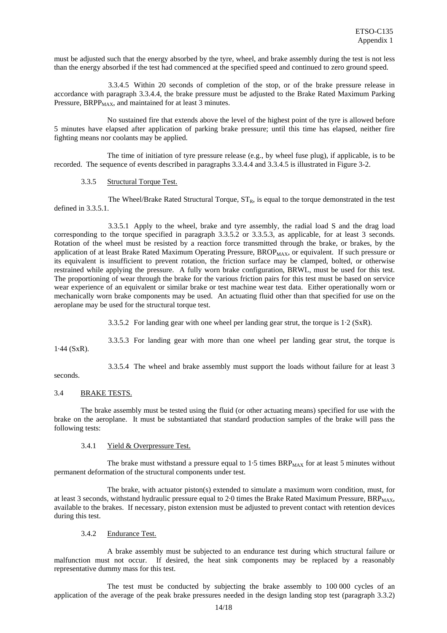must be adjusted such that the energy absorbed by the tyre, wheel, and brake assembly during the test is not less than the energy absorbed if the test had commenced at the specified speed and continued to zero ground speed.

3.3.4.5 Within 20 seconds of completion of the stop, or of the brake pressure release in accordance with paragraph 3.3.4.4, the brake pressure must be adjusted to the Brake Rated Maximum Parking Pressure, BRPP<sub>MAX</sub>, and maintained for at least 3 minutes.

 No sustained fire that extends above the level of the highest point of the tyre is allowed before 5 minutes have elapsed after application of parking brake pressure; until this time has elapsed, neither fire fighting means nor coolants may be applied.

The time of initiation of tyre pressure release  $(e.g., by wheel$  fuse plug), if applicable, is to be recorded. The sequence of events described in paragraphs 3.3.4.4 and 3.3.4.5 is illustrated in Figure 3-2.

#### 3.3.5 Structural Torque Test.

The Wheel/Brake Rated Structural Torque,  $ST_R$ , is equal to the torque demonstrated in the test defined in 3.3.5.1.

3.3.5.1 Apply to the wheel, brake and tyre assembly, the radial load S and the drag load corresponding to the torque specified in paragraph 3.3.5.2 or 3.3.5.3, as applicable, for at least 3 seconds. Rotation of the wheel must be resisted by a reaction force transmitted through the brake, or brakes, by the application of at least Brake Rated Maximum Operating Pressure, BROP<sub>MAX</sub>, or equivalent. If such pressure or its equivalent is insufficient to prevent rotation, the friction surface may be clamped, bolted, or otherwise restrained while applying the pressure. A fully worn brake configuration, BRWL, must be used for this test. The proportioning of wear through the brake for the various friction pairs for this test must be based on service wear experience of an equivalent or similar brake or test machine wear test data. Either operationally worn or mechanically worn brake components may be used. An actuating fluid other than that specified for use on the aeroplane may be used for the structural torque test.

3.3.5.2 For landing gear with one wheel per landing gear strut, the torque is 1·2 (SxR).

3.3.5.3 For landing gear with more than one wheel per landing gear strut, the torque is

1·44 (SxR).

3.3.5.4 The wheel and brake assembly must support the loads without failure for at least 3

#### seconds.

## 3.4 BRAKE TESTS.

 The brake assembly must be tested using the fluid (or other actuating means) specified for use with the brake on the aeroplane. It must be substantiated that standard production samples of the brake will pass the following tests:

#### 3.4.1 Yield & Overpressure Test.

The brake must withstand a pressure equal to  $1.5$  times  $BRP<sub>MAX</sub>$  for at least 5 minutes without permanent deformation of the structural components under test.

 The brake, with actuator piston(s) extended to simulate a maximum worn condition, must, for at least 3 seconds, withstand hydraulic pressure equal to 2.0 times the Brake Rated Maximum Pressure,  $BR_{MAX}$ , available to the brakes. If necessary, piston extension must be adjusted to prevent contact with retention devices during this test.

#### 3.4.2 Endurance Test.

 A brake assembly must be subjected to an endurance test during which structural failure or malfunction must not occur. If desired, the heat sink components may be replaced by a reasonably representative dummy mass for this test.

 The test must be conducted by subjecting the brake assembly to 100 000 cycles of an application of the average of the peak brake pressures needed in the design landing stop test (paragraph 3.3.2)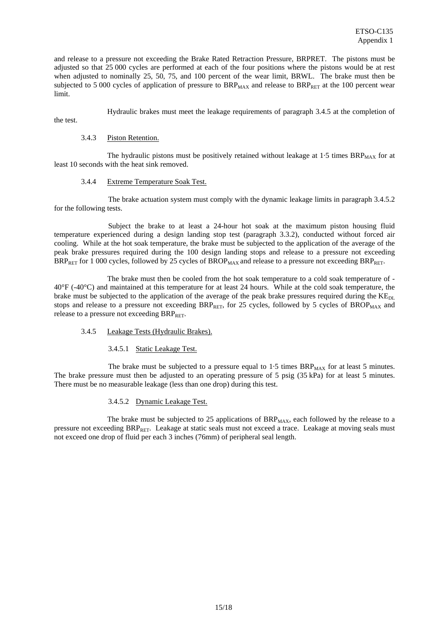and release to a pressure not exceeding the Brake Rated Retraction Pressure, BRPRET. The pistons must be adjusted so that 25 000 cycles are performed at each of the four positions where the pistons would be at rest when adjusted to nominally 25, 50, 75, and 100 percent of the wear limit, BRWL. The brake must then be subjected to 5 000 cycles of application of pressure to  $BRP_{MAX}$  and release to  $BRP_{RET}$  at the 100 percent wear limit.

Hydraulic brakes must meet the leakage requirements of paragraph 3.4.5 at the completion of

the test.

#### 3.4.3 Piston Retention.

The hydraulic pistons must be positively retained without leakage at  $1.5$  times BRP $_{MAX}$  for at least 10 seconds with the heat sink removed.

#### 3.4.4 Extreme Temperature Soak Test.

The brake actuation system must comply with the dynamic leakage limits in paragraph 3.4.5.2 for the following tests.

Subject the brake to at least a 24-hour hot soak at the maximum piston housing fluid temperature experienced during a design landing stop test (paragraph 3.3.2), conducted without forced air cooling. While at the hot soak temperature, the brake must be subjected to the application of the average of the peak brake pressures required during the 100 design landing stops and release to a pressure not exceeding  $BR_{RET}$  for 1 000 cycles, followed by 25 cycles of  $BROP_{MAX}$  and release to a pressure not exceeding  $BR_{RET}$ .

The brake must then be cooled from the hot soak temperature to a cold soak temperature of -40°F (-40°C) and maintained at this temperature for at least 24 hours. While at the cold soak temperature, the brake must be subjected to the application of the average of the peak brake pressures required during the KE<sub>DL</sub> stops and release to a pressure not exceeding  $BRP_{RET}$ , for 25 cycles, followed by 5 cycles of  $BROP_{MAX}$  and release to a pressure not exceeding  $BRP_{RET}$ .

# 3.4.5 Leakage Tests (Hydraulic Brakes).

3.4.5.1 Static Leakage Test.

The brake must be subjected to a pressure equal to  $1.5$  times  $BRP<sub>MAX</sub>$  for at least 5 minutes. The brake pressure must then be adjusted to an operating pressure of 5 psig (35 kPa) for at least 5 minutes. There must be no measurable leakage (less than one drop) during this test.

3.4.5.2 Dynamic Leakage Test.

The brake must be subjected to 25 applications of  $BRP<sub>MAX</sub>$ , each followed by the release to a pressure not exceeding BRPRET. Leakage at static seals must not exceed a trace. Leakage at moving seals must not exceed one drop of fluid per each 3 inches (76mm) of peripheral seal length.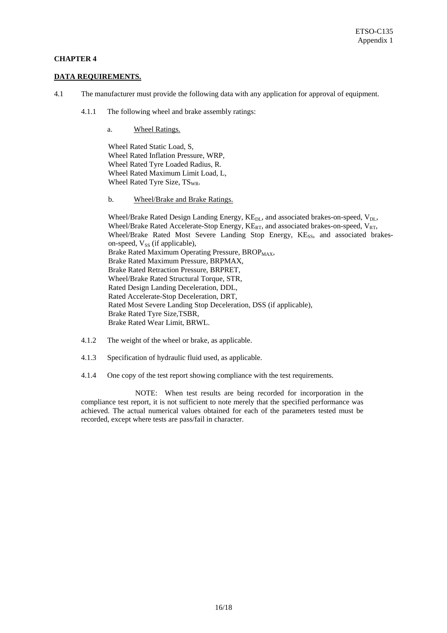# **CHAPTER 4**

#### **DATA REQUIREMENTS.**

- 4.1 The manufacturer must provide the following data with any application for approval of equipment.
	- 4.1.1 The following wheel and brake assembly ratings:
		- a. Wheel Ratings.

Wheel Rated Static Load, S, Wheel Rated Inflation Pressure, WRP, Wheel Rated Tyre Loaded Radius, R. Wheel Rated Maximum Limit Load, L, Wheel Rated Tyre Size, TS<sub>WR</sub>.

b. Wheel/Brake and Brake Ratings.

Wheel/Brake Rated Design Landing Energy, KE<sub>DL</sub>, and associated brakes-on-speed, V<sub>DL</sub>, Wheel/Brake Rated Accelerate-Stop Energy,  $KE_{RT}$ , and associated brakes-on-speed,  $V_{RT}$ , Wheel/Brake Rated Most Severe Landing Stop Energy, KE<sub>SS</sub>, and associated brakeson-speed,  $V_{SS}$  (if applicable), Brake Rated Maximum Operating Pressure, BROP<sub>MAX</sub>, Brake Rated Maximum Pressure, BRPMAX, Brake Rated Retraction Pressure, BRPRET, Wheel/Brake Rated Structural Torque, STR, Rated Design Landing Deceleration, DDL, Rated Accelerate-Stop Deceleration, DRT, Rated Most Severe Landing Stop Deceleration, DSS (if applicable), Brake Rated Tyre Size,TSBR, Brake Rated Wear Limit, BRWL.

- 4.1.2 The weight of the wheel or brake, as applicable.
- 4.1.3 Specification of hydraulic fluid used, as applicable.
- 4.1.4 One copy of the test report showing compliance with the test requirements.

NOTE: When test results are being recorded for incorporation in the compliance test report, it is not sufficient to note merely that the specified performance was achieved. The actual numerical values obtained for each of the parameters tested must be recorded, except where tests are pass/fail in character.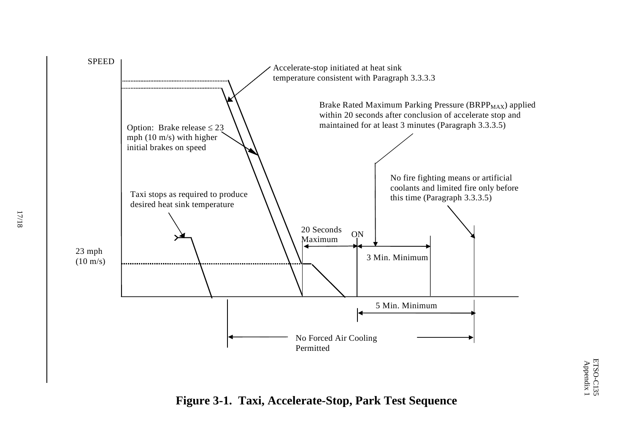

**Figure 3-1. Taxi, Accelerate-Stop, Park Test Sequence**